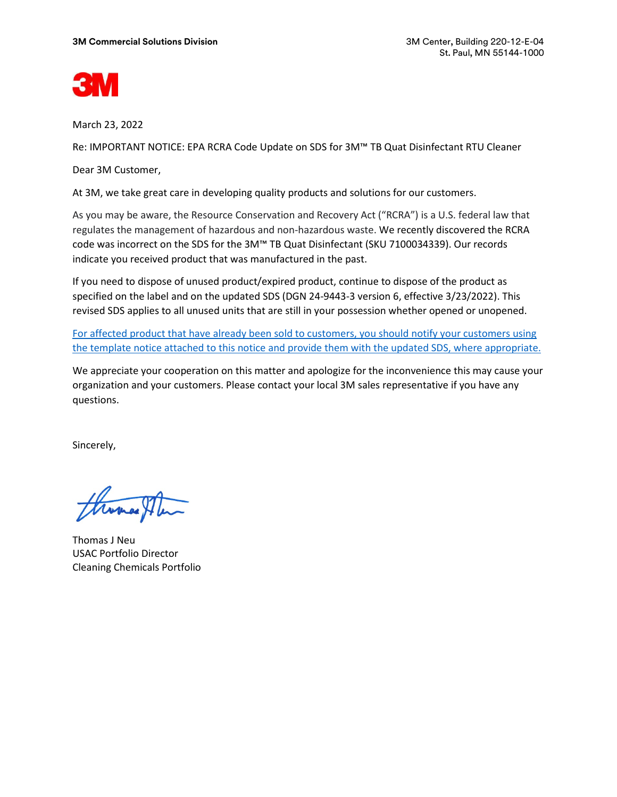

March 23, 2022

Re: IMPORTANT NOTICE: EPA RCRA Code Update on SDS for 3M™ TB Quat Disinfectant RTU Cleaner

Dear 3M Customer,

At 3M, we take great care in developing quality products and solutions for our customers.

As you may be aware, the Resource Conservation and Recovery Act ("RCRA") is a U.S. federal law that regulates the management of hazardous and non-hazardous waste. We recently discovered the RCRA code was incorrect on the SDS for the 3M™ TB Quat Disinfectant (SKU 7100034339). Our records indicate you received product that was manufactured in the past.

If you need to dispose of unused product/expired product, continue to dispose of the product as specified on the label and on the updated SDS (DGN 24-9443-3 version 6, effective 3/23/2022). This revised SDS applies to all unused units that are still in your possession whether opened or unopened.

For affected product that have already been sold to customers, you should notify your customers using the template notice attached to this notice and provide them with the updated SDS, where appropriate.

We appreciate your cooperation on this matter and apologize for the inconvenience this may cause your organization and your customers. Please contact your local 3M sales representative if you have any questions.

Sincerely,

Thomas J Neu USAC Portfolio Director Cleaning Chemicals Portfolio